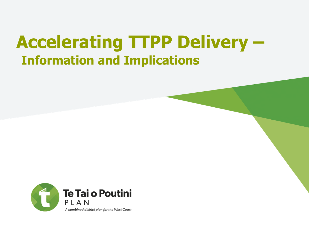### **Accelerating TTPP Delivery – Information and Implications**

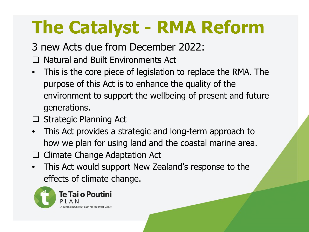# **The Catalyst - RMA Reform**

3 new Acts due from December 2022:

- $\Box$  Natural and Built Environments Act
- This is the core piece of legislation to replace the RMA. The purpose of this Act is to enhance the quality of the environment to support the wellbeing of present and future generations.
- $\Box$  Strategic Planning Act
- This Act provides a strategic and long-term approach to how we plan for using land and the coastal marine area.
- $\Box$  Climate Change Adaptation Act
- This Act would support New Zealand's response to the effects of climate change.

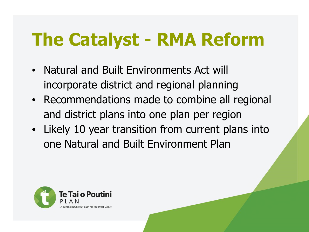# **The Catalyst - RMA Reform**

- Natural and Built Environments Act will incorporate district and regional planning
- Recommendations made to combine all regional and district plans into one plan per region
- Likely 10 year transition from current plans into one Natural and Built Environment Plan

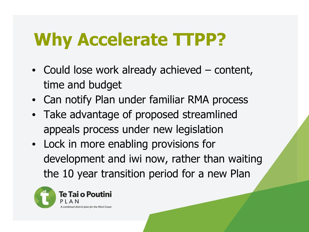### **Why Accelerate TTPP?**

- Could lose work already achieved content, time and budget
- Can notify Plan under familiar RMA process
- Take advantage of proposed streamlined appeals process under new legislation
- Lock in more enabling provisions for development and iwi now, rather than waiting the 10 year transition period for a new Plan

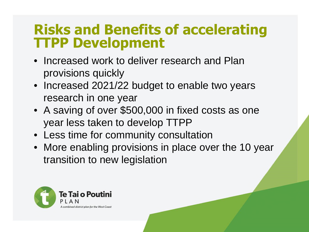### **Risks and Benefits of accelerating TTPP Development**

- Increased work to deliver research and Plan provisions quickly
- Increased 2021/22 budget to enable two years research in one year
- A saving of over \$500,000 in fixed costs as one year less taken to develop TTPP
- Less time for community consultation
- More enabling provisions in place over the 10 year transition to new legislation

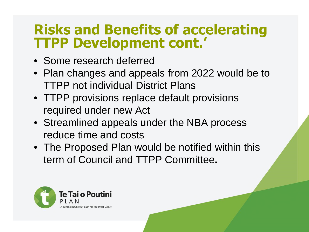### **Risks and Benefits of accelerating TTPP Development cont.'**

- Some research deferred
- Plan changes and appeals from 2022 would be to TTPP not individual District Plans
- TTPP provisions replace default provisions required under new Act
- Streamlined appeals under the NBA process reduce time and costs
- The Proposed Plan would be notified within this term of Council and TTPP Committee**.**

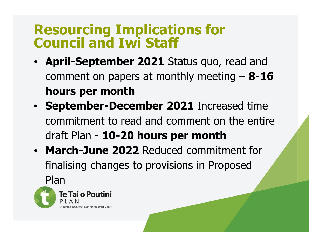### **Resourcing Implications for Council and Iwi Staff**

- **April-September 2021** Status quo, read and comment on papers at monthly meeting – **8-16 hours per month**
- **September-December 2021** Increased time commitment to read and comment on the entire draft Plan - **10-20 hours per month**
- **March-June 2022** Reduced commitment for finalising changes to provisions in Proposed

Plan